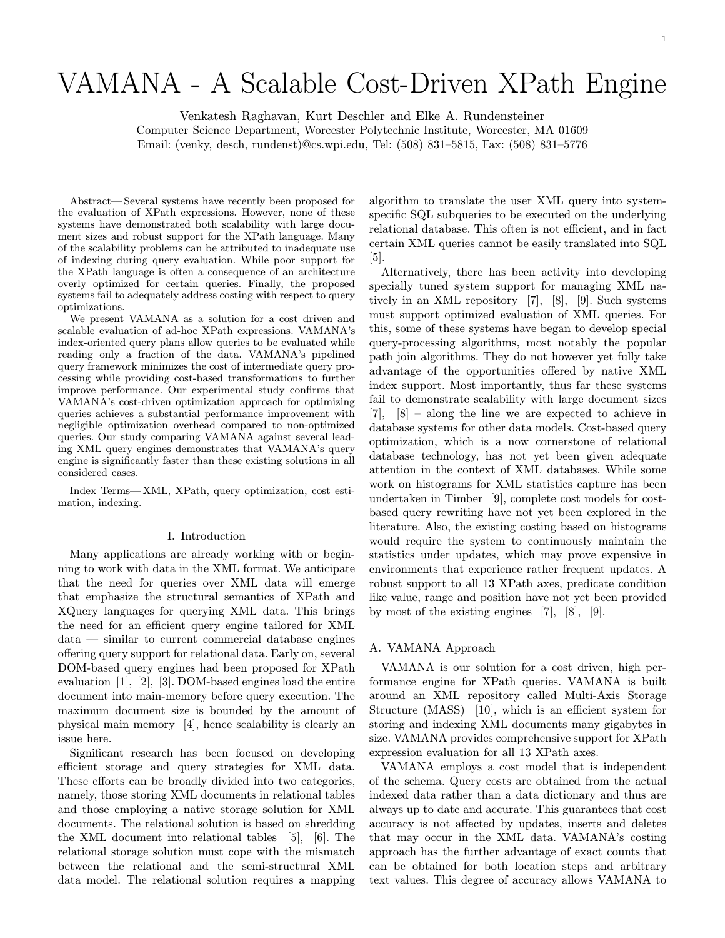VAMANA - A SCALABLE COST-DRIVEN IS ON THE COST-DRIVEN IS A SCALABLE COST-DRIVEN IS A SCALABLE COST-DRIVEN IS A<br>Venkatesh Raghavan, Kurt Deschler and Elke A. Rundensteiner Computer Science Department, Worcester Polytechnic Institute, Worcester, MA 01609 Email: (venky, desch, rundenst)@cs.wpi.edu, Tel: (508) 831–5815, Fax: (508) 831–5776

Abstract—Several systems have recently been proposed for the evaluation of XPath expressions. However, none of these systems have demonstrated both scalability with large document sizes and robust support for the XPath language. Many of the scalability problems can be attributed to inadequate use of indexing during query evaluation. While poor support for the XPath language is often a consequence of an architecture overly optimized for certain queries. Finally, the proposed systems fail to adequately address costing with respect to query optimizations.

We present VAMANA as a solution for a cost driven and scalable evaluation of ad-hoc XPath expressions. VAMANA's index-oriented query plans allow queries to be evaluated while reading only a fraction of the data. VAMANA's pipelined query framework minimizes the cost of intermediate query processing while providing cost-based transformations to further improve performance. Our experimental study confirms that VAMANA£s cost-driven optimization approach for optimizing queries achieves a substantial performance improvement with negligible optimization overhead compared to non-optimized queries. Our study comparing VAMANA against several leading XML query engines demonstrates that VAMANA's query engine is significantly faster than these existing solutions in all considered cases.

Index Terms—XML, XPath, query optimization, cost estimation, indexing.

#### I. Introduction

Many applications are already working with or beginning to work with data in the XML format. We anticipate that the need for queries over XML data will emerge that emphasize the structural semantics of XPath and XQuery languages for querying XML data. This brings the need for an efficient query engine tailored for XML  $data$   $\ldots$  similar to current commercial database engines offering query support for relational data. Early on, several DOM-based query engines had been proposed for XPath evaluation [1], [2], [3]. DOM-based engines load the entire document into main-memory before query execution. The maximum document size is bounded by the amount of physical main memory [4], hence scalability is clearly an issue here.

Significant research has been focused on developing efficient storage and query strategies for XML data. These efforts can be broadly divided into two categories, namely, those storing XML documents in relational tables and those employing a native storage solution for XML documents. The relational solution is based on shredding the XML document into relational tables [5], [6]. The relational storage solution must cope with the mismatch between the relational and the semi-structural XML data model. The relational solution requires a mapping algorithm to translate the user XML query into systemspecific SQL subqueries to be executed on the underlying relational database. This often is not efficient, and in fact certain XML queries cannot be easily translated into SQL [5].

Alternatively, there has been activity into developing specially tuned system support for managing XML natively in an XML repository [7], [8], [9]. Such systems must support optimized evaluation of XML queries. For this, some of these systems have began to develop special query-processing algorithms, most notably the popular path join algorithms. They do not however yet fully take advantage of the opportunities offered by native XML index support. Most importantly, thus far these systems fail to demonstrate scalability with large document sizes  $[7]$ ,  $[8]$  – along the line we are expected to achieve in database systems for other data models. Cost-based query optimization, which is a now cornerstone of relational database technology, has not yet been given adequate attention in the context of XML databases. While some work on histograms for XML statistics capture has been undertaken in Timber [9], complete cost models for costbased query rewriting have not yet been explored in the literature. Also, the existing costing based on histograms would require the system to continuously maintain the statistics under updates, which may prove expensive in environments that experience rather frequent updates. A robust support to all 13 XPath axes, predicate condition like value, range and position have not yet been provided by most of the existing engines [7], [8], [9].

## A. VAMANA Approach

VAMANA is our solution for a cost driven, high performance engine for XPath queries. VAMANA is built around an XML repository called Multi-Axis Storage Structure  $(MASS)$  [10], which is an efficient system for storing and indexing XML documents many gigabytes in size. VAMANA provides comprehensive support for XPath expression evaluation for all 13 XPath axes.

VAMANA employs a cost model that is independent of the schema. Query costs are obtained from the actual indexed data rather than a data dictionary and thus are always up to date and accurate. This guarantees that cost accuracy is not affected by updates, inserts and deletes that may occur in the XML data. VAMANA's costing approach has the further advantage of exact counts that can be obtained for both location steps and arbitrary text values. This degree of accuracy allows VAMANA to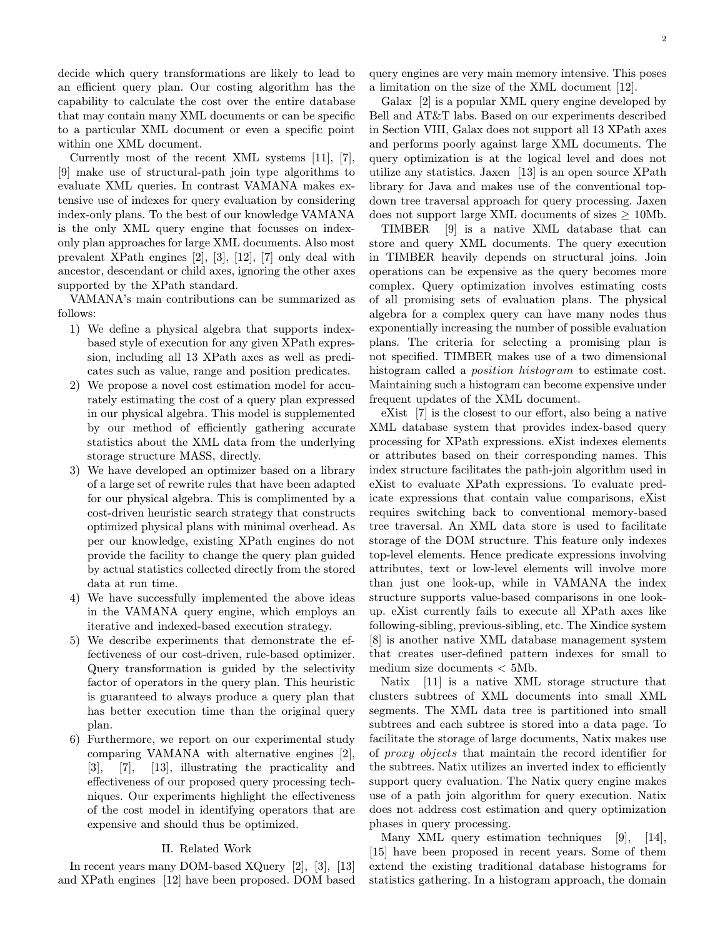decide which query transformations are likely to lead to an efficient query plan. Our costing algorithm has the capability to calculate the cost over the entire database that may contain many XML documents or can be specific to a particular XML document or even a specific point within one XML document.

Currently most of the recent XML systems [11], [7], [9] make use of structural-path join type algorithms to evaluate XML queries. In contrast VAMANA makes extensive use of indexes for query evaluation by considering index-only plans. To the best of our knowledge VAMANA is the only XML query engine that focusses on indexonly plan approaches for large XML documents. Also most prevalent XPath engines [2], [3], [12], [7] only deal with ancestor, descendant or child axes, ignoring the other axes supported by the XPath standard.

VAMANA's main contributions can be summarized as follows:

- 1) We define a physical algebra that supports indexbased style of execution for any given XPath expression, including all 13 XPath axes as well as predicates such as value, range and position predicates.
- 2) We propose a novel cost estimation model for accurately estimating the cost of a query plan expressed in our physical algebra. This model is supplemented by our method of efficiently gathering accurate statistics about the XML data from the underlying storage structure MASS, directly.
- 3) We have developed an optimizer based on a library of a large set of rewrite rules that have been adapted for our physical algebra. This is complimented by a cost-driven heuristic search strategy that constructs optimized physical plans with minimal overhead. As per our knowledge, existing XPath engines do not provide the facility to change the query plan guided by actual statistics collected directly from the stored data at run time.
- 4) We have successfully implemented the above ideas in the VAMANA query engine, which employs an iterative and indexed-based execution strategy.
- 5) We describe experiments that demonstrate the effectiveness of our cost-driven, rule-based optimizer. Query transformation is guided by the selectivity factor of operators in the query plan. This heuristic is guaranteed to always produce a query plan that has better execution time than the original query plan.
- 6) Furthermore, we report on our experimental study comparing VAMANA with alternative engines [2], [3], [7], [13], illustrating the practicality and effectiveness of our proposed query processing techniques. Our experiments highlight the effectiveness of the cost model in identifying operators that are expensive and should thus be optimized.

## II. Related Work

In recent years many DOM-based XQuery [2], [3], [13] and XPath engines [12] have been proposed. DOM based query engines are very main memory intensive. This poses a limitation on the size of the XML document [12].

Galax [2] is a popular XML query engine developed by Bell and AT&T labs. Based on our experiments described in Section VIII, Galax does not support all 13 XPath axes and performs poorly against large XML documents. The query optimization is at the logical level and does not utilize any statistics. Jaxen [13] is an open source XPath library for Java and makes use of the conventional topdown tree traversal approach for query processing. Jaxen

does not support large XML documents of sizes  $\geq$  10Mb.<br>TIMBER [9] is a native XML database that can [9] is a native XML database that can store and query XML documents. The query execution in TIMBER heavily depends on structural joins. Join operations can be expensive as the query becomes more complex. Query optimization involves estimating costs of all promising sets of evaluation plans. The physical algebra for a complex query can have many nodes thus exponentially increasing the number of possible evaluation plans. The criteria for selecting a promising plan is not specified. TIMBER makes use of a two dimensional histogram called a position histogram to estimate cost. Maintaining such a histogram can become expensive under frequent updates of the XML document.

eXist  $[7]$  is the closest to our effort, also being a native XML database system that provides index-based query processing for XPath expressions. eXist indexes elements or attributes based on their corresponding names. This index structure facilitates the path-join algorithm used in eXist to evaluate XPath expressions. To evaluate predicate expressions that contain value comparisons, eXist requires switching back to conventional memory-based tree traversal. An XML data store is used to facilitate storage of the DOM structure. This feature only indexes top-level elements. Hence predicate expressions involving attributes, text or low-level elements will involve more than just one look-up, while in VAMANA the index structure supports value-based comparisons in one lookup. eXist currently fails to execute all XPath axes like following-sibling, previous-sibling, etc. The Xindice system [8] is another native XML database management system that creates user-defined pattern indexes for small to medium size documents < 5Mb.

Natix [11] is a native XML storage structure that clusters subtrees of XML documents into small XML segments. The XML data tree is partitioned into small subtrees and each subtree is stored into a data page. To facilitate the storage of large documents, Natix makes use of proxy objects that maintain the record identifier for the subtrees. Natix utilizes an inverted index to efficiently support query evaluation. The Natix query engine makes use of a path join algorithm for query execution. Natix does not address cost estimation and query optimization phases in query processing.

Many XML query estimation techniques [9], [14], [15] have been proposed in recent years. Some of them extend the existing traditional database histograms for statistics gathering. In a histogram approach, the domain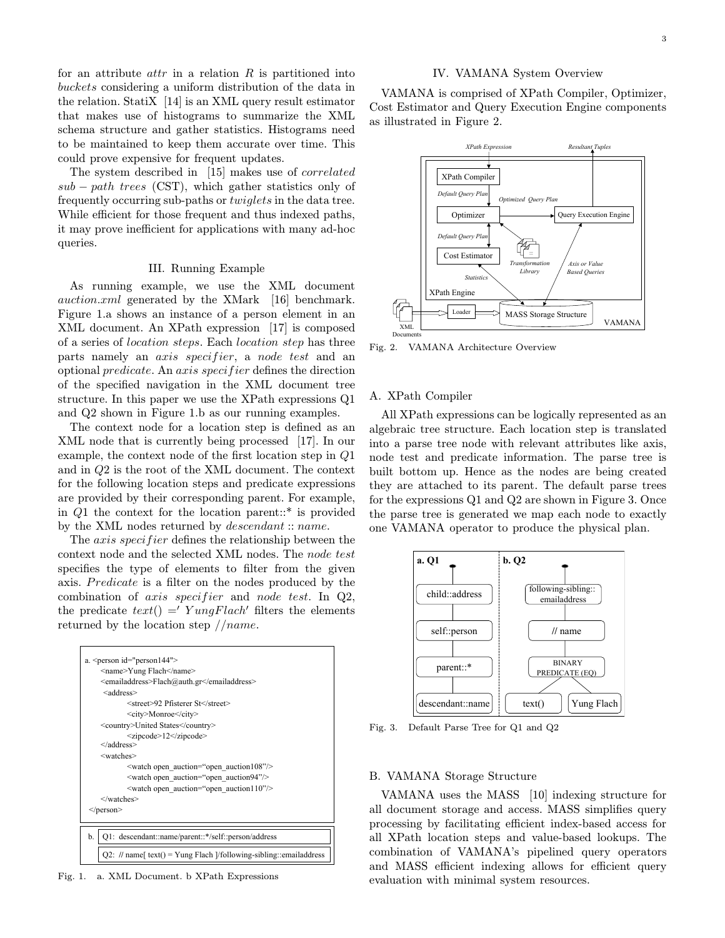#### IV. VAMANA System Overview

for an attribute  $attr$  in a relation  $R$  is partitioned into buckets considering a uniform distribution of the data in the relation. StatiX [14] is an XML query result estimator that makes use of histograms to summarize the XML schema structure and gather statistics. Histograms need to be maintained to keep them accurate over time. This could prove expensive for frequent updates.

The system described in [15] makes use of correlated  $sub - path$  trees (CST), which gather statistics only of frequently occurring sub-paths or twiglets in the data tree. While efficient for those frequent and thus indexed paths, it may prove inefficient for applications with many ad-hoc queries.

### III. Running Example

As running example, we use the XML document auction.xml generated by the XMark [16] benchmark. Figure 1.a shows an instance of a person element in an XML document. An XPath expression [17] is composed of a series of location steps. Each location step has three parts namely an *axis specifier*, a *node test* and an optional *predicate*. An axis specifier defines the direction of the specified navigation in the XML document tree structure. In this paper we use the XPath expressions Q1 and Q2 shown in Figure 1.b as our running examples.

The context node for a location step is defined as an XML node that is currently being processed [17]. In our example, the context node of the first location step in  $Q1$ and in Q2 is the root of the XML document. The context for the following location steps and predicate expressions are provided by their corresponding parent. For example, in Q1 the context for the location parent::\* is provided by the XML nodes returned by descendant :: name.

The *axis specifier* defines the relationship between the context node and the selected XML nodes. The node test specifies the type of elements to filter from the given axis. Predicate is a filter on the nodes produced by the combination of *axis specifier* and *node test*. In  $Q2$ , the predicate  $text() = Y \nung Flach'$  filters the elements returned by the location step  $//name.$ 



Fig. 1. a. XML Document. b XPath Expressions

VAMANA is comprised of XPath Compiler, Optimizer, Cost Estimator and Query Execution Engine components as illustrated in Figure 2.



Fig. 2. VAMANA Architecture Overview

## A. XPath Compiler

All XPath expressions can be logically represented as an algebraic tree structure. Each location step is translated into a parse tree node with relevant attributes like axis, node test and predicate information. The parse tree is built bottom up. Hence as the nodes are being created they are attached to its parent. The default parse trees for the expressions Q1 and Q2 are shown in Figure 3. Once the parse tree is generated we map each node to exactly one VAMANA operator to produce the physical plan.



Fig. 3. Default Parse Tree for Q1 and Q2

## B. VAMANA Storage Structure

VAMANA uses the MASS [10] indexing structure for all document storage and access. MASS simplifies query processing by facilitating efficient index-based access for all XPath location steps and value-based lookups. The combination of VAMANA's pipelined query operators and MASS efficient indexing allows for efficient query evaluation with minimal system resources.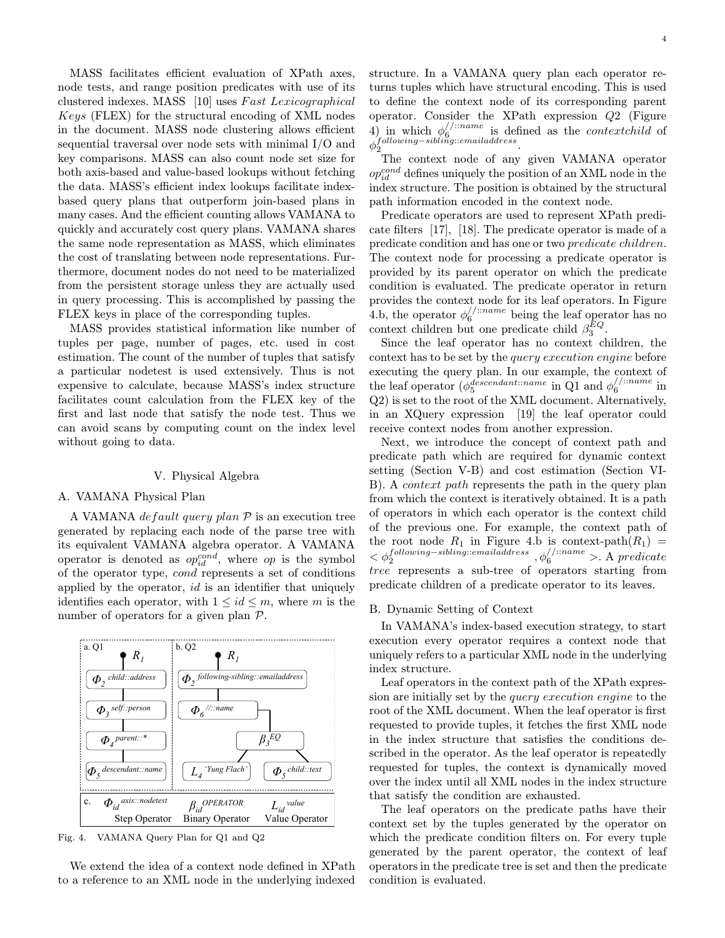MASS facilitates efficient evaluation of XPath axes, node tests, and range position predicates with use of its clustered indexes. MASS [10] uses Fast Lexicographical Keys (FLEX) for the structural encoding of XML nodes in the document. MASS node clustering allows efficient sequential traversal over node sets with minimal I/O and key comparisons. MASS can also count node set size for both axis-based and value-based lookups without fetching the data. MASS's efficient index lookups facilitate indexbased query plans that outperform join-based plans in many cases. And the efficient counting allows VAMANA to quickly and accurately cost query plans. VAMANA shares the same node representation as MASS, which eliminates the cost of translating between node representations. Furthermore, document nodes do not need to be materialized from the persistent storage unless they are actually used in query processing. This is accomplished by passing the FLEX keys in place of the corresponding tuples.

MASS provides statistical information like number of tuples per page, number of pages, etc. used in cost estimation. The count of the number of tuples that satisfy a particular nodetest is used extensively. Thus is not expensive to calculate, because MASS's index structure facilitates count calculation from the FLEX key of the first and last node that satisfy the node test. Thus we can avoid scans by computing count on the index level without going to data.

# V. Physical Algebra

## A. VAMANA Physical Plan

A VAMANA *default query plan*  $P$  is an execution tree generated by replacing each node of the parse tree with its equivalent VAMANA algebra operator. A VAMANA operator is denoted as  $op_{id}^{cond}$ , where  $op$  is the symbol of the operator type, cond represents a set of conditions applied by the operator,  $id$  is an identifier that uniquely identifies each operator, with  $1 \leq id \leq m$ , where m is the number of operators for a given plan P.



Fig. 4. VAMANA Query Plan for Q1 and Q2

We extend the idea of a context node defined in XPath to a reference to an XML node in the underlying indexed structure. In a VAMANA query plan each operator returns tuples which have structural encoding. This is used to define the context node of its corresponding parent operator. Consider the XPath expression Q2 (Figure 4) in which  $\phi_6^{/}/^{iname}$  is defined as the *contextchild* of  $\phi_2^{[following-sibling::emailaddress}$  .

The context node of any given VAMANA operator  $op_{id}^{cond}$  defines uniquely the position of an XML node in the index structure. The position is obtained by the structural path information encoded in the context node.

Predicate operators are used to represent XPath predicate filters  $[17]$ ,  $[18]$ . The predicate operator is made of a predicate condition and has one or two predicate children. The context node for processing a predicate operator is provided by its parent operator on which the predicate condition is evaluated. The predicate operator in return provides the context node for its leaf operators. In Figure 4.b, the operator  $\phi_6^{//::name}$  being the leaf operator has no context children but one predicate child  $\beta_3^{EQ}$ .

Since the leaf operator has no context children, the context has to be set by the query execution engine before executing the query plan. In our example, the context of the leaf operator ( $\phi_5^{descendant::name}$  in Q1 and  $\phi_6^{//::name}$  in Q2) is set to the root of the XML document. Alternatively, in an XQuery expression [19] the leaf operator could receive context nodes from another expression.

Next, we introduce the concept of context path and predicate path which are required for dynamic context setting (Section V-B) and cost estimation (Section VI-B). A *context path* represents the path in the query plan from which the context is iteratively obtained. It is a path of operators in which each operator is the context child of the previous one. For example, the context path of the root node  $R_1$  in Figure 4.b is context-path $(R_1)$  =  $<\phi_2^{following-sibling:emailaddress}$  ,  $\phi_6^{//::name}$  >. A predicate tree represents a sub-tree of operators starting from predicate children of a predicate operator to its leaves.

#### B. Dynamic Setting of Context

In VAMANA's index-based execution strategy, to start execution every operator requires a context node that uniquely refers to a particular XML node in the underlying index structure.

Leaf operators in the context path of the XPath expression are initially set by the query execution engine to the root of the XML document. When the leaf operator is first requested to provide tuples, it fetches the first XML node in the index structure that satisfies the conditions described in the operator. As the leaf operator is repeatedly requested for tuples, the context is dynamically moved over the index until all XML nodes in the index structure that satisfy the condition are exhausted.

The leaf operators on the predicate paths have their context set by the tuples generated by the operator on which the predicate condition filters on. For every tuple generated by the parent operator, the context of leaf operators in the predicate tree is set and then the predicate condition is evaluated.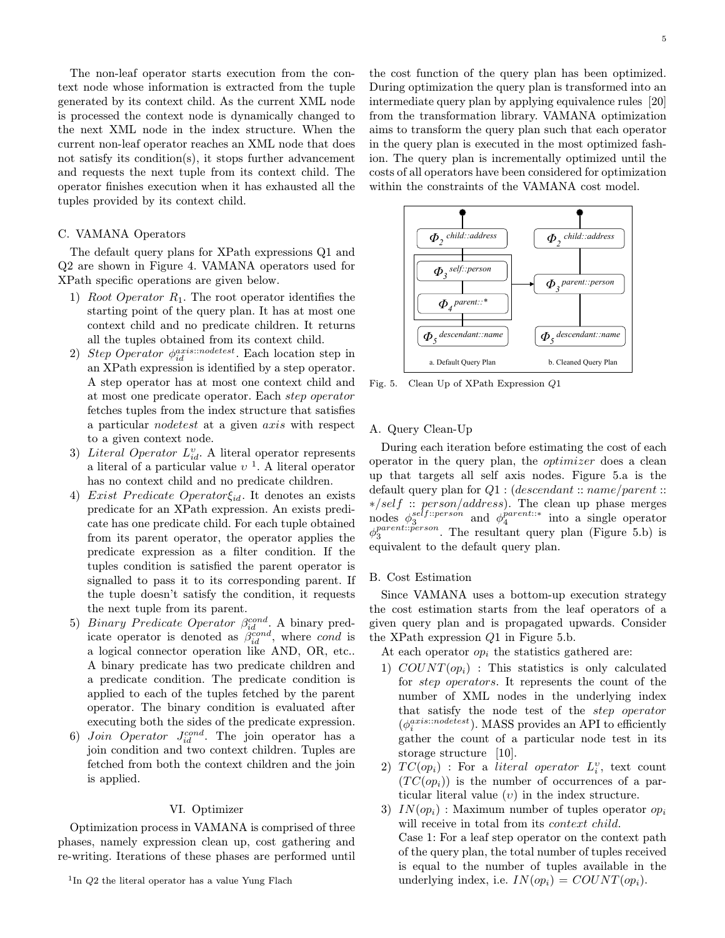The non-leaf operator starts execution from the context node whose information is extracted from the tuple generated by its context child. As the current XML node is processed the context node is dynamically changed to the next XML node in the index structure. When the current non-leaf operator reaches an XML node that does not satisfy its condition(s), it stops further advancement and requests the next tuple from its context child. The operator ¦nishes execution when it has exhausted all the tuples provided by its context child.

## C. VAMANA Operators

The default query plans for XPath expressions Q1 and Q2 are shown in Figure 4. VAMANA operators used for XPath specific operations are given below.

- 1) Root Operator  $R_1$ . The root operator identifies the starting point of the query plan. It has at most one context child and no predicate children. It returns all the tuples obtained from its context child.
- 2) Step Operator  $\phi_{id}^{axis:!nodeset}$ . Each location step in an XPath expression is identified by a step operator. A step operator has at most one context child and at most one predicate operator. Each step operator fetches tuples from the index structure that satisfies a particular nodetest at a given axis with respect to a given context node.
- 3) Literal Operator  $L_{id}^v$ . A literal operator represents a literal of a particular value  $v<sup>1</sup>$ . A literal operator has no context child and no predicate children.
- 4) Exist Predicate Operator $\xi_{id}$ . It denotes an exists predicate for an XPath expression. An exists predicate has one predicate child. For each tuple obtained from its parent operator, the operator applies the predicate expression as a filter condition. If the tuples condition is satisfied the parent operator is signalled to pass it to its corresponding parent. If the tuple doesn't satisfy the condition, it requests the next tuple from its parent.
- 5) Binary Predicate Operator  $\beta_{id}^{cond}$ . A binary predicate operator is denoted as  $\beta_{id}^{cond}$ , where cond is a logical connector operation like AND, OR, etc.. A binary predicate has two predicate children and a predicate condition. The predicate condition is applied to each of the tuples fetched by the parent operator. The binary condition is evaluated after executing both the sides of the predicate expression.
- 6) Join Operator  $J_{id}^{cond}$ . The join operator has a join condition and two context children. Tuples are fetched from both the context children and the join is applied.

## VI. Optimizer

Optimization process in VAMANA is comprised of three phases, namely expression clean up, cost gathering and re-writing. Iterations of these phases are performed until 5

the cost function of the query plan has been optimized. During optimization the query plan is transformed into an intermediate query plan by applying equivalence rules [20] from the transformation library. VAMANA optimization aims to transform the query plan such that each operator in the query plan is executed in the most optimized fashion. The query plan is incrementally optimized until the costs of all operators have been considered for optimization within the constraints of the VAMANA cost model.



Fig. 5. Clean Up of XPath Expression *Q*1

## A. Query Clean-Up

During each iteration before estimating the cost of each operator in the query plan, the optimizer does a clean up that targets all self axis nodes. Figure 5.a is the default query plan for  $Q1$ : (descendant :: name/parent :: ∗/self :: person/address). The clean up phase merges nodes  $\phi_3^{self::person}$  and  $\phi_4^{parent::*}$  into a single operator  $\phi_3^{parent::person}$ . The resultant query plan (Figure 5.b) is equivalent to the default query plan.

#### B. Cost Estimation

Since VAMANA uses a bottom-up execution strategy the cost estimation starts from the leaf operators of a given query plan and is propagated upwards. Consider the XPath expression Q1 in Figure 5.b.

At each operator  $op_i$  the statistics gathered are:

- 1)  $COUNT(op_i)$ : This statistics is only calculated for step operators. It represents the count of the number of XML nodes in the underlying index that satisfy the node test of the step operator  $(\phi_i^{axis::nodes})$ . MASS provides an API to efficiently gather the count of a particular node test in its storage structure [10].
- 2)  $TC(op_i)$ : For a literal operator  $L_i^v$ , text count  $(TC(op_i))$  is the number of occurrences of a particular literal value  $(v)$  in the index structure.
- 3)  $IN(op_i)$ : Maximum number of tuples operator  $op_i$ will receive in total from its *context child*. Case 1: For a leaf step operator on the context path of the query plan, the total number of tuples received is equal to the number of tuples available in the underlying index, i.e.  $IN(op_i) = COUNT(op_i)$ .

<sup>&</sup>lt;sup>1</sup>In *Q*2 the literal operator has a value Yung Flach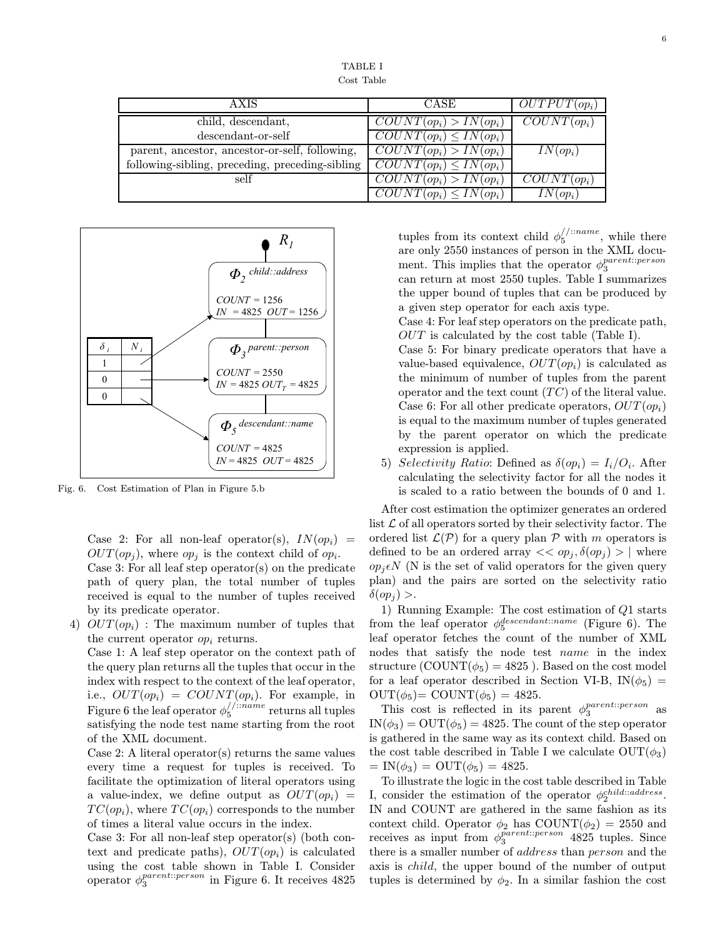TABLE I Cost Table

| <b>AXIS</b>                                     | <b>CASE</b>                            | $OUTPUT(op_i)$ |
|-------------------------------------------------|----------------------------------------|----------------|
| child, descendant,                              | $COUNT(op_i) > IN(op_i)$               | $COUNT(op_i)$  |
| descendant-or-self                              | $\overline{COUNT(op_i)} \leq IN(op_i)$ |                |
| parent, ancestor, ancestor-or-self, following,  | $\overline{COUNT(op_i)} > IN(op_i)$    | $IN(op_i)$     |
| following-sibling, preceding, preceding-sibling | $\overline{COUNT(op_i)} \leq IN(op_i)$ |                |
| self                                            | $\overline{COUNT(op_i)} > IN(op_i)$    | $COUNT(op_i)$  |
|                                                 | $\overline{COUNT}(op_i) \leq IN(op_i)$ | $IN(op_i)$     |



Fig. 6. Cost Estimation of Plan in Figure 5.b

Case 2: For all non-leaf operator(s),  $IN(op_i)$  =  $OUT(op_i)$ , where  $op_i$  is the context child of  $op_i$ . Case 3: For all leaf step operator(s) on the predicate path of query plan, the total number of tuples received is equal to the number of tuples received by its predicate operator.

4)  $OUT(op_i)$ : The maximum number of tuples that the current operator  $op_i$  returns.

Case 1: A leaf step operator on the context path of the query plan returns all the tuples that occur in the index with respect to the context of the leaf operator, i.e.,  $OUT(op_i) = COUNT(op_i)$ . For example, in Figure 6 the leaf operator  $\phi_5^{/$ ::name returns all tuples satisfying the node test name starting from the root of the XML document.

Case 2: A literal operator(s) returns the same values every time a request for tuples is received. To facilitate the optimization of literal operators using a value-index, we define output as  $OUT(op_i)$  =  $TC(op_i)$ , where  $TC(op_i)$  corresponds to the number of times a literal value occurs in the index.

Case 3: For all non-leaf step operator(s) (both context and predicate paths),  $OUT(op_i)$  is calculated using the cost table shown in Table I. Consider operator  $\phi_3^{parent::person}$  in Figure 6. It receives 4825

tuples from its context child  $\phi_5^{/$ ::name, while there are only 2550 instances of person in the XML document. This implies that the operator  $\phi_3^{parent::person}$ can return at most 2550 tuples. Table I summarizes the upper bound of tuples that can be produced by a given step operator for each axis type.

Case 4: For leaf step operators on the predicate path, OUT is calculated by the cost table (Table I).

Case 5: For binary predicate operators that have a value-based equivalence,  $OUT(op_i)$  is calculated as the minimum of number of tuples from the parent operator and the text count  $(T C)$  of the literal value. Case 6: For all other predicate operators,  $OUT(op_i)$ is equal to the maximum number of tuples generated by the parent operator on which the predicate expression is applied.

5) Selectivity Ratio: Defined as  $\delta(op_i) = I_i/O_i$ . After calculating the selectivity factor for all the nodes it is scaled to a ratio between the bounds of 0 and 1.

After cost estimation the optimizer generates an ordered list  $\mathcal L$  of all operators sorted by their selectivity factor. The ordered list  $\mathcal{L}(\mathcal{P})$  for a query plan  $\mathcal P$  with m operators is defined to be an ordered array  $<< op_i, \delta(op_i) > |$  where  $op_j \epsilon N$  (N is the set of valid operators for the given query plan) and the pairs are sorted on the selectivity ratio  $\delta(op_i) >$ .

1) Running Example: The cost estimation of Q1 starts from the leaf operator  $\phi_5^{descendant::name}$  (Figure 6). The leaf operator fetches the count of the number of XML nodes that satisfy the node test *name* in the index structure  $(COUNT(\phi_5) = 4825)$ . Based on the cost model for a leaf operator described in Section VI-B,  $IN(\phi_5)$  =  $OUT(\phi_5) = COUNT(\phi_5) = 4825.$ 

This cost is reflected in its parent  $\phi_3^{parent::person}$  as  $IN(\phi_3) = OUT(\phi_5) = 4825$ . The count of the step operator is gathered in the same way as its context child. Based on the cost table described in Table I we calculate  $OUT(\phi_3)$  $=$  IN( $\phi_3$ ) = OUT( $\phi_5$ ) = 4825.

To illustrate the logic in the cost table described in Table I, consider the estimation of the operator  $\phi_2^{child:address}$ . IN and COUNT are gathered in the same fashion as its context child. Operator  $\phi_2$  has COUNT( $\phi_2$ ) = 2550 and receives as input from  $\phi_3^{parent::person}$  4825 tuples. Since there is a smaller number of address than person and the axis is child, the upper bound of the number of output tuples is determined by  $\phi_2$ . In a similar fashion the cost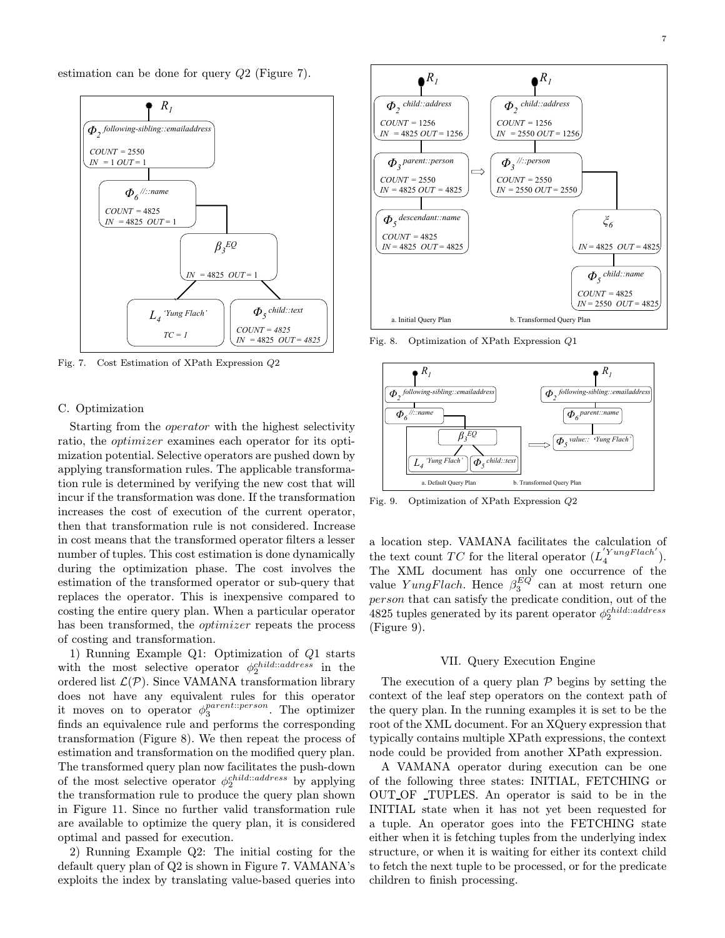estimation can be done for query Q2 (Figure 7).



Fig. 7. Cost Estimation of XPath Expression *Q*2

## C. Optimization

Starting from the operator with the highest selectivity ratio, the *optimizer* examines each operator for its optimization potential. Selective operators are pushed down by applying transformation rules. The applicable transformation rule is determined by verifying the new cost that will incur if the transformation was done. If the transformation increases the cost of execution of the current operator, then that transformation rule is not considered. Increase in cost means that the transformed operator filters a lesser number of tuples. This cost estimation is done dynamically during the optimization phase. The cost involves the estimation of the transformed operator or sub-query that replaces the operator. This is inexpensive compared to costing the entire query plan. When a particular operator has been transformed, the *optimizer* repeats the process of costing and transformation.

1) Running Example Q1: Optimization of Q1 starts with the most selective operator  $\phi_2^{child::address}$  in the ordered list  $\mathcal{L}(\mathcal{P})$ . Since VAMANA transformation library does not have any equivalent rules for this operator it moves on to operator  $\phi_3^{parent::person}$ . The optimizer finds an equivalence rule and performs the corresponding transformation (Figure 8). We then repeat the process of estimation and transformation on the modified query plan. The transformed query plan now facilitates the push-down of the most selective operator  $\phi_2^{child:address}$  by applying the transformation rule to produce the query plan shown in Figure 11. Since no further valid transformation rule are available to optimize the query plan, it is considered optimal and passed for execution.

2) Running Example Q2: The initial costing for the default query plan of  $Q2$  is shown in Figure 7. VAMANA's exploits the index by translating value-based queries into



Fig. 8. Optimization of XPath Expression *Q*1



Fig. 9. Optimization of XPath Expression *Q*2

a location step. VAMANA facilitates the calculation of the text count TC for the literal operator  $(L_4^{'}^{YungFlach})$ . The XML document has only one occurrence of the value  $YungFlach.$  Hence  $\beta_3^{EQ}$  can at most return one person that can satisfy the predicate condition, out of the 4825 tuples generated by its parent operator  $\phi_2^{child:address}$ (Figure 9).

# VII. Query Execution Engine

The execution of a query plan  $P$  begins by setting the context of the leaf step operators on the context path of the query plan. In the running examples it is set to be the root of the XML document. For an XQuery expression that typically contains multiple XPath expressions, the context node could be provided from another XPath expression.

A VAMANA operator during execution can be one of the following three states: INITIAL, FETCHING or OUT OF TUPLES. An operator is said to be in the INITIAL state when it has not yet been requested for a tuple. An operator goes into the FETCHING state either when it is fetching tuples from the underlying index structure, or when it is waiting for either its context child to fetch the next tuple to be processed, or for the predicate children to finish processing.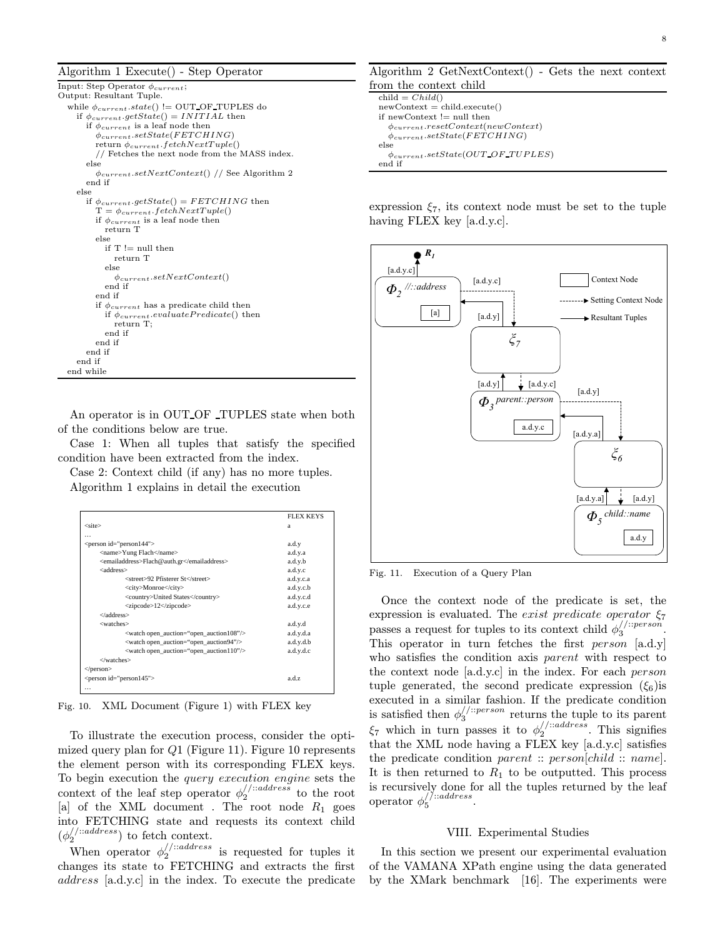Algorithm 1 Execute() - Step Operator

```
Input: Step Operator φcurrent;
Output: Resultant Tuple.
  while \phi_{current}.state() != OUT OF TUPLES do
     if \phi_{current}.getState() = INITIAL then
       if φcurrent is a leaf node then
         φcurrent.setState(FETCHING)
         return \phi_{current}.fetchNextTuple()// Fetches the next node from the MASS index.
       else
         φcurrent.setN extContext() // See Algorithm 2
       end if
     else
       if \phi_{current}.getState() = FETCHING then
         T = \phi_{current}.fetchNextTuple()if \phi_{current} is a leaf node then
            return T
         else
           if \mathcal{T} != null then
              return T
            else
              \phi_{current}.setNextContext()end if
         end if
         if \phi_{current} has a predicate child then
            if \phi_{current}.\mathit{evaluatePredicte()} then
              return T;
            end if
         end if
       end if
     end if
  end while
```
An operator is in OUT OF TUPLES state when both of the conditions below are true.

Case 1: When all tuples that satisfy the specified condition have been extracted from the index.

Case 2: Context child (if any) has no more tuples. Algorithm 1 explains in detail the execution

|                                                                         | <b>FLEX KEYS</b> |
|-------------------------------------------------------------------------|------------------|
| $<$ site $>$                                                            | a                |
| .                                                                       |                  |
| <person id="person144"></person>                                        | a.d.y            |
| <name>Yung Flach</name>                                                 | a.d.y.a          |
| <emailaddress>Flach@auth.gr</emailaddress>                              | a.d.y.b          |
| <address></address>                                                     | a.d.y.c          |
| <street>92 Pfisterer St</street>                                        | a.d.y.c.a        |
| <city>Monroe</city>                                                     | a.d.y.c.b        |
| <country>United States</country>                                        | a.d.y.c.d        |
| <zipcode>12</zipcode>                                                   | a.d.v.c.e        |
|                                                                         |                  |
| <watches></watches>                                                     | a.d.y.d          |
| <watch open_auction="open_auction108"></watch>                          | a.d.y.d.a        |
| <watch open_auction="open_auction94"></watch>                           | a.d.y.d.b        |
| $\alpha$ <watch <math="" auction="open auction110" open="">&gt;</watch> | a.d.y.d.c        |
|                                                                         |                  |
| $<$ /person $>$                                                         |                  |
| <person id="person145"></person>                                        | a.d.z            |
| $\cdots$                                                                |                  |

Fig. 10. XML Document (Figure 1) with FLEX key

To illustrate the execution process, consider the optimized query plan for  $Q1$  (Figure 11). Figure 10 represents the element person with its corresponding FLEX keys. To begin execution the query execution engine sets the context of the leaf step operator  $\phi_2^{/}$ : address to the root [a] of the XML document. The root node  $R_1$  goes into FETCHING state and requests its context child  $(\phi_2^{//:address})$  to fetch context.

When operator  $\phi_2^{//:address}$  is requested for tuples it changes its state to FETCHING and extracts the first address [a.d.y.c] in the index. To execute the predicate Algorithm 2 GetNextContext() - Gets the next context from the context child

```
child = Child()newContext = child.execute()if newContext != null then
  \phi_{current}.resetContext(newContext)φcurrent.setState(FETCHING)
else
  \phi_{current}.setState(OUT \ OF \ TUPLES)end if
```
expression  $\xi_7$ , its context node must be set to the tuple having FLEX key [a.d.y.c].



Fig. 11. Execution of a Query Plan

Once the context node of the predicate is set, the expression is evaluated. The exist predicate operator  $\xi_7$ passes a request for tuples to its context child  $\phi_3^{//:person}$ . This operator in turn fetches the first *person*  $[a.d.y]$ who satisfies the condition axis *parent* with respect to the context node [a.d.y.c] in the index. For each person tuple generated, the second predicate expression  $(\xi_6)$  is executed in a similar fashion. If the predicate condition is satisfied then  $\phi_3^{//::person}$  returns the tuple to its parent  $\xi_7$  which in turn passes it to  $\phi_2^{//:address}$ . This signifies that the XML node having a FLEX key [a.d.y.c] satisfies the predicate condition parent ::  $person[child::name]$ . It is then returned to  $R_1$  to be outputted. This process is recursively done for all the tuples returned by the leaf operator  $\phi_5^{//:address}$ .

#### VIII. Experimental Studies

In this section we present our experimental evaluation of the VAMANA XPath engine using the data generated by the XMark benchmark [16]. The experiments were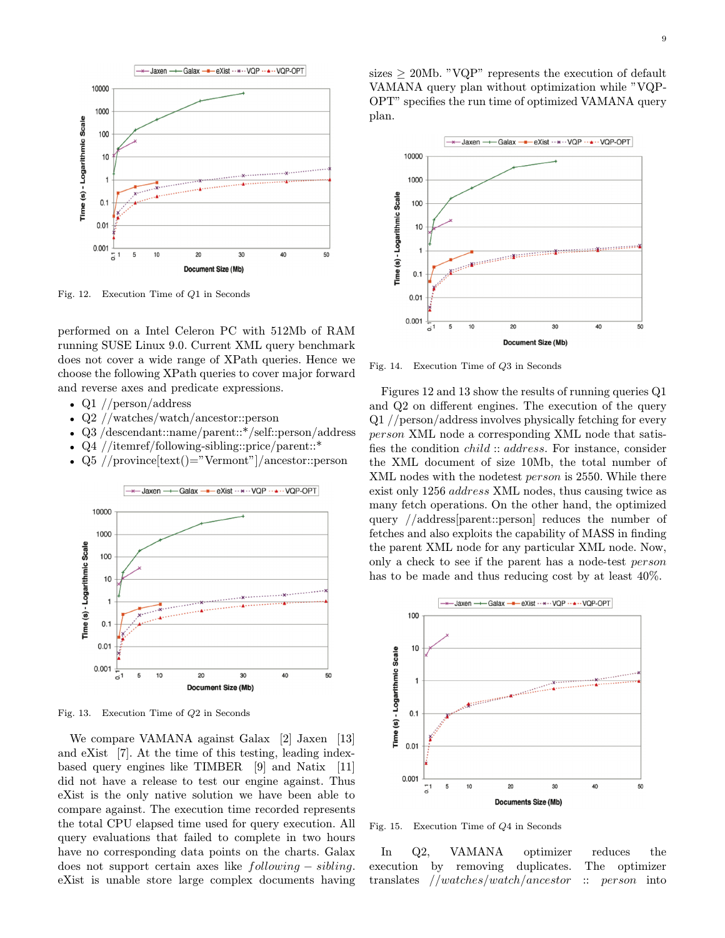

Fig. 12. Execution Time of *Q*1 in Seconds

performed on a Intel Celeron PC with 512Mb of RAM running SUSE Linux 9.0. Current XML query benchmark does not cover a wide range of XPath queries. Hence we choose the following XPath queries to cover major forward and reverse axes and predicate expressions.

- Q1 //person/address
- Q2 //watches/watch/ancestor::person
- Q3 /descendant::name/parent::\*/self::person/address
- Q4 //itemref/following-sibling::price/parent::\*
- Q5 //province $[\text{text}) = \text{vermont}$ "/ancestor::person



Fig. 13. Execution Time of *Q*2 in Seconds

We compare VAMANA against Galax [2] Jaxen [13] and eXist [7]. At the time of this testing, leading indexbased query engines like TIMBER [9] and Natix [11] did not have a release to test our engine against. Thus eXist is the only native solution we have been able to compare against. The execution time recorded represents the total CPU elapsed time used for query execution. All query evaluations that failed to complete in two hours have no corresponding data points on the charts. Galax does not support certain axes like following − sibling. eXist is unable store large complex documents having sizes  $\geq$  20Mb. "VQP" represents the execution of default VAMANA query plan without optimization while "VQP-OPT" specifies the run time of optimized VAMANA query plan.



Fig. 14. Execution Time of *Q*3 in Seconds

Figures 12 and 13 show the results of running queries Q1 and  $Q2$  on different engines. The execution of the query Q1 //person/address involves physically fetching for every person XML node a corresponding XML node that satis fies the condition *child* :: *address*. For instance, consider the XML document of size 10Mb, the total number of XML nodes with the nodetest person is 2550. While there exist only 1256 address XML nodes, thus causing twice as many fetch operations. On the other hand, the optimized query //address[parent::person] reduces the number of fetches and also exploits the capability of MASS in finding the parent XML node for any particular XML node. Now, only a check to see if the parent has a node-test person has to be made and thus reducing cost by at least 40%.



Fig. 15. Execution Time of *Q*4 in Seconds

In Q2, VAMANA optimizer reduces the execution by removing duplicates. The optimizer translates  $//watches/watch/ancestor :: person into$